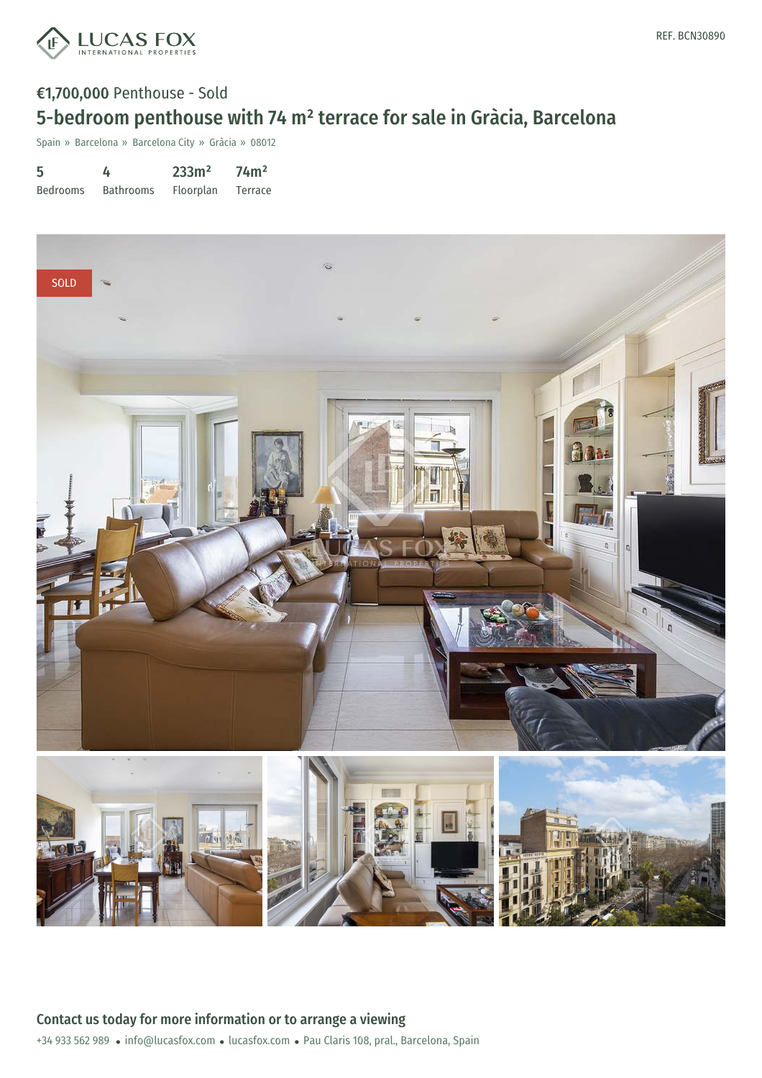

# €1,700,000 Penthouse - Sold 5-bedroom penthouse with 74 m² terrace for sale in Gràcia, Barcelona

Spain » Barcelona » Barcelona City » Gràcia » 08012

| 5               | 4                | 233m <sup>2</sup> | 74 <sup>m</sup> |
|-----------------|------------------|-------------------|-----------------|
| <b>Bedrooms</b> | <b>Bathrooms</b> | <b>Floorplan</b>  | <b>Terrace</b>  |

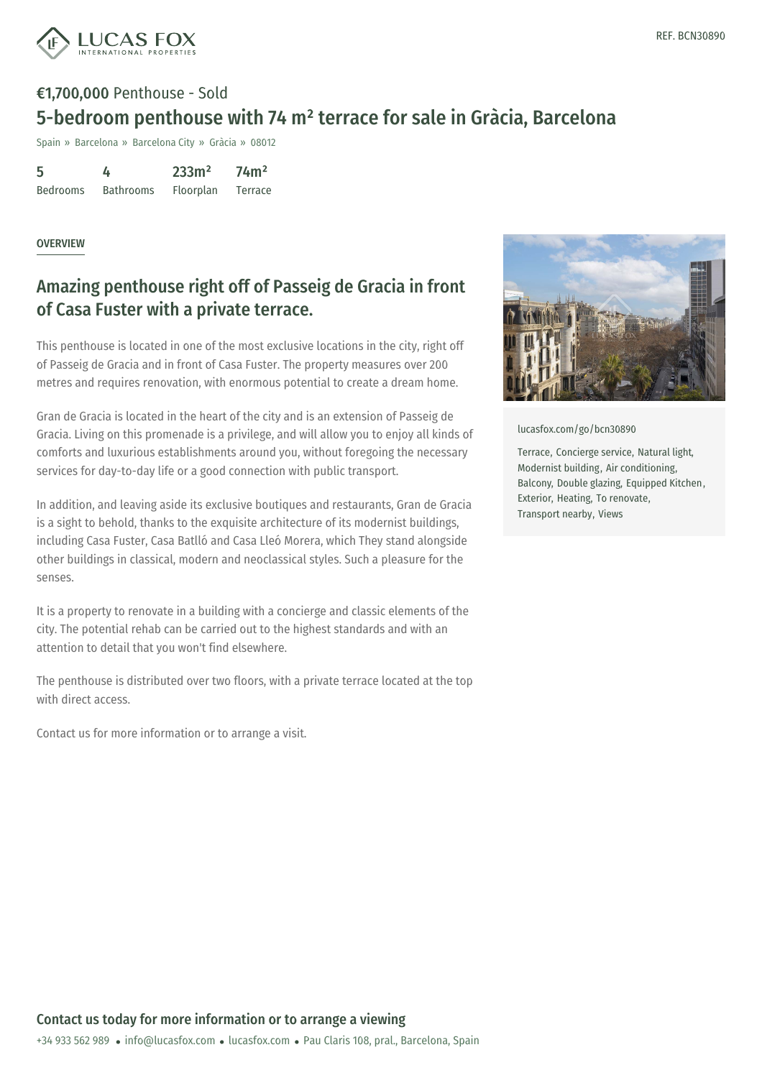

# €1,700,000 Penthouse - Sold 5-bedroom penthouse with 74 m² terrace for sale in Gràcia, Barcelona

Spain » Barcelona » Barcelona City » Gràcia » 08012

5 Bedrooms 4 Bathrooms 233m² Floorplan 74m² Terrace

#### **OVERVIEW**

### Amazing penthouse right off of Passeig de Gracia in front of Casa Fuster with a private terrace.

This penthouse is located in one of the most exclusive locations in the city, right off of Passeig de Gracia and in front of Casa Fuster. The property measures over 200 metres and requires renovation, with enormous potential to create a dream home.

Gran de Gracia is located in the heart of the city and is an extension of Passeig de Gracia. Living on this promenade is a privilege, and will allow you to enjoy all kinds of comforts and luxurious establishments around you, without foregoing the necessary services for day-to-day life or a good connection with public transport.

In addition, and leaving aside its exclusive boutiques and restaurants, Gran de Gracia is a sight to behold, thanks to the exquisite architecture of its modernist buildings, including Casa Fuster, Casa Batlló and Casa Lleó Morera, which They stand alongside other buildings in classical, modern and neoclassical styles. Such a pleasure for the senses.

It is a property to renovate in a building with a concierge and classic elements of the city. The potential rehab can be carried out to the highest standards and with an attention to detail that you won't find elsewhere.

The penthouse is distributed over two floors, with a private terrace located at the top with direct access.

Contact us for more information or to arrange a visit.



[lucasfox.com/go/bcn30890](https://www.lucasfox.com/go/bcn30890)

Terrace, Concierge service, Natural light, Modernist building, Air conditioning, Balcony, Double glazing, Equipped Kitchen, Exterior, Heating, To renovate, Transport nearby, Views